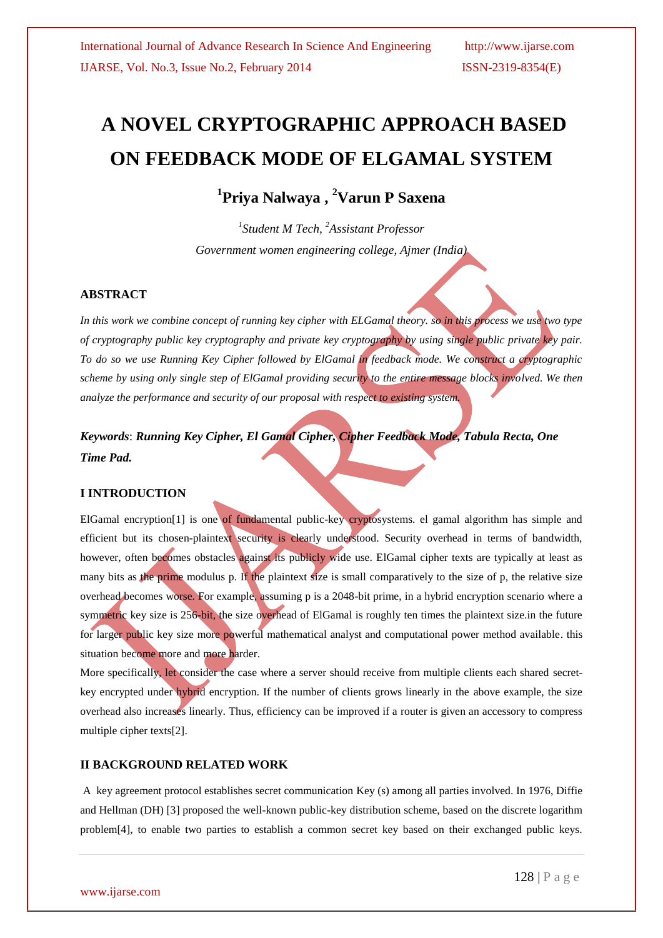# **A NOVEL CRYPTOGRAPHIC APPROACH BASED ON FEEDBACK MODE OF ELGAMAL SYSTEM**

**1 Priya Nalwaya , <sup>2</sup>Varun P Saxena**

*1 Student M Tech, <sup>2</sup>Assistant Professor Government women engineering college, Ajmer (India)*

# **ABSTRACT**

*In this work we combine concept of running key cipher with ELGamal theory. so in this process we use two type of cryptography public key cryptography and private key cryptography by using single public private key pair. To do so we use Running Key Cipher followed by ElGamal in feedback mode. We construct a cryptographic scheme by using only single step of ElGamal providing security to the entire message blocks involved. We then analyze the performance and security of our proposal with respect to existing system.*

*Keywords*: *Running Key Cipher, El Gamal Cipher, Cipher Feedback Mode, Tabula Recta, One Time Pad.* 

# **I INTRODUCTION**

ElGamal encryption[1] is one of fundamental public-key cryptosystems. el gamal algorithm has simple and efficient but its chosen-plaintext security is clearly understood. Security overhead in terms of bandwidth, however, often becomes obstacles against its publicly wide use. ElGamal cipher texts are typically at least as many bits as the prime modulus p. If the plaintext size is small comparatively to the size of p, the relative size overhead becomes worse. For example, assuming p is a 2048-bit prime, in a hybrid encryption scenario where a symmetric key size is 256-bit, the size overhead of ElGamal is roughly ten times the plaintext size in the future for larger public key size more powerful mathematical analyst and computational power method available. this situation become more and more harder.

More specifically, let consider the case where a server should receive from multiple clients each shared secretkey encrypted under hybrid encryption. If the number of clients grows linearly in the above example, the size overhead also increases linearly. Thus, efficiency can be improved if a router is given an accessory to compress multiple cipher texts[2].

# **II BACKGROUND RELATED WORK**

A key agreement protocol establishes secret communication Key (s) among all parties involved. In 1976, Diffie and Hellman (DH) [3] proposed the well-known public-key distribution scheme, based on the discrete logarithm problem[4], to enable two parties to establish a common secret key based on their exchanged public keys.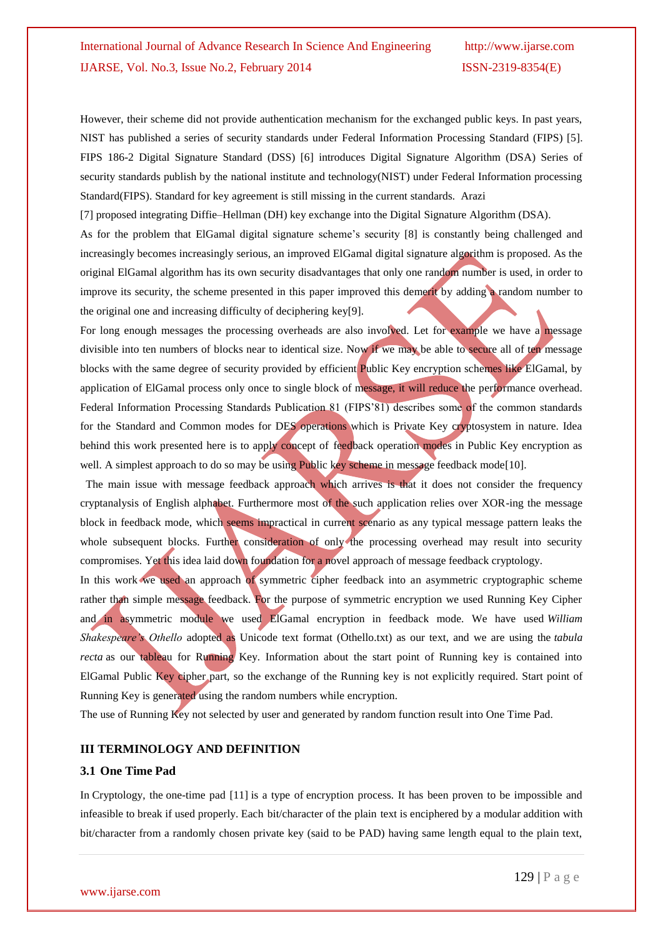However, their scheme did not provide authentication mechanism for the exchanged public keys. In past years, NIST has published a series of security standards under Federal Information Processing Standard (FIPS) [5]. FIPS 186-2 Digital Signature Standard (DSS) [6] introduces Digital Signature Algorithm (DSA) Series of security standards publish by the national institute and technology(NIST) under Federal Information processing Standard(FIPS). Standard for key agreement is still missing in the current standards. Arazi

[7] proposed integrating Diffie–Hellman (DH) key exchange into the Digital Signature Algorithm (DSA).

As for the problem that ElGamal digital signature scheme's security [8] is constantly being challenged and increasingly becomes increasingly serious, an improved ElGamal digital signature algorithm is proposed. As the original ElGamal algorithm has its own security disadvantages that only one random number is used, in order to improve its security, the scheme presented in this paper improved this demerit by adding a random number to the original one and increasing difficulty of deciphering key[9].

For long enough messages the processing overheads are also involved. Let for example we have a message divisible into ten numbers of blocks near to identical size. Now if we may be able to secure all of ten message blocks with the same degree of security provided by efficient Public Key encryption schemes like ElGamal, by application of ElGamal process only once to single block of message, it will reduce the performance overhead. Federal Information Processing Standards Publication 81 (FIPS"81) describes some of the common standards for the Standard and Common modes for DES operations which is Private Key cryptosystem in nature. Idea behind this work presented here is to apply concept of feedback operation modes in Public Key encryption as well. A simplest approach to do so may be using Public key scheme in message feedback mode[10].

The main issue with message feedback approach which arrives is that it does not consider the frequency cryptanalysis of English alphabet. Furthermore most of the such application relies over XOR-ing the message block in feedback mode, which seems impractical in current scenario as any typical message pattern leaks the whole subsequent blocks. Further consideration of only the processing overhead may result into security compromises. Yet this idea laid down foundation for a novel approach of message feedback cryptology.

In this work we used an approach of symmetric cipher feedback into an asymmetric cryptographic scheme rather than simple message feedback. For the purpose of symmetric encryption we used Running Key Cipher and in asymmetric module we used ElGamal encryption in feedback mode. We have used *William Shakespeare's Othello* adopted as Unicode text format (Othello.txt) as our text, and we are using the *tabula recta* as our tableau for Running Key. Information about the start point of Running key is contained into ElGamal Public Key cipher part, so the exchange of the Running key is not explicitly required. Start point of Running Key is generated using the random numbers while encryption.

The use of Running Key not selected by user and generated by random function result into One Time Pad.

# **III TERMINOLOGY AND DEFINITION**

#### **3.1 One Time Pad**

In Cryptology, the one-time pad [11] is a type of encryption process. It has been proven to be impossible and infeasible to break if used properly. Each bit/character of the plain text is enciphered by a modular addition with bit/character from a randomly chosen private key (said to be PAD) having same length equal to the plain text,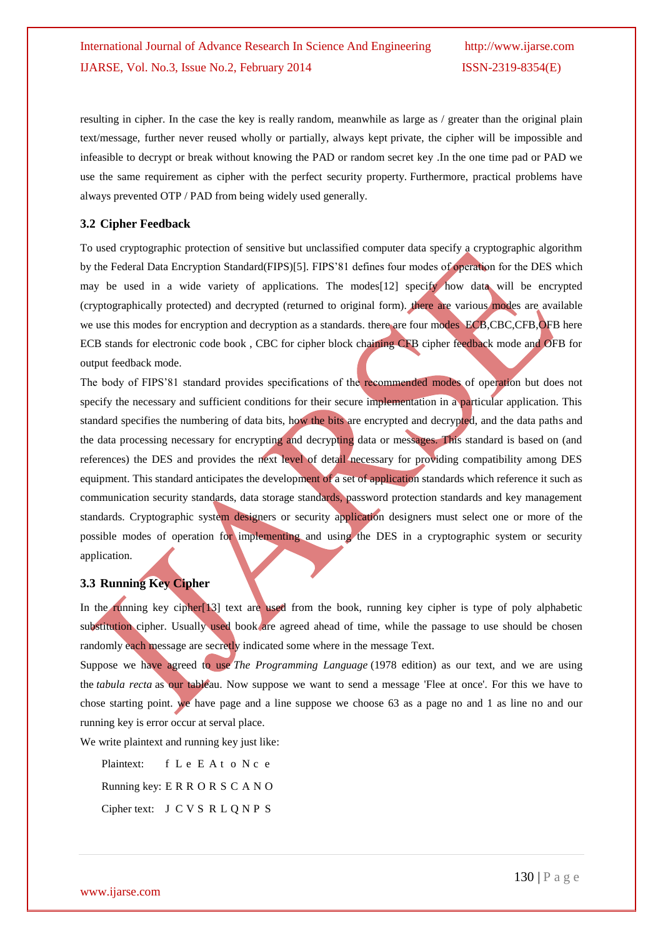resulting in cipher. In the case the key is really random, meanwhile as large as / greater than the original plain text/message, further never reused wholly or partially, always kept private, the cipher will be impossible and infeasible to decrypt or break without knowing the PAD or random secret key .In the one time pad or PAD we use the same requirement as cipher with the perfect security property. Furthermore, practical problems have always prevented OTP / PAD from being widely used generally.

### **3.2 Cipher Feedback**

To used cryptographic protection of sensitive but unclassified computer data specify a cryptographic algorithm by the Federal Data Encryption Standard(FIPS)[5]. FIPS"81 defines four modes of operation for the DES which may be used in a wide variety of applications. The modes [12] specify how data will be encrypted (cryptographically protected) and decrypted (returned to original form). there are various modes are available we use this modes for encryption and decryption as a standards, there are four modes ECB,CBC,CFB,OFB here ECB stands for electronic code book , CBC for cipher block chaining CFB cipher feedback mode and OFB for output feedback mode.

The body of FIPS"81 standard provides specifications of the recommended modes of operation but does not specify the necessary and sufficient conditions for their secure implementation in a particular application. This standard specifies the numbering of data bits, how the bits are encrypted and decrypted, and the data paths and the data processing necessary for encrypting and decrypting data or messages. This standard is based on (and references) the DES and provides the next level of detail necessary for providing compatibility among DES equipment. This standard anticipates the development of a set of application standards which reference it such as communication security standards, data storage standards, password protection standards and key management standards. Cryptographic system designers or security application designers must select one or more of the possible modes of operation for implementing and using the DES in a cryptographic system or security application.

# **3.3 Running Key Cipher**

In the running key cipher<sup>[13]</sup> text are used from the book, running key cipher is type of poly alphabetic substitution cipher. Usually used book are agreed ahead of time, while the passage to use should be chosen randomly each message are secretly indicated some where in the message Text.

Suppose we have agreed to use *The Programming Language* (1978 edition) as our text, and we are using the *tabula recta* as our tableau. Now suppose we want to send a message 'Flee at once'. For this we have to chose starting point. we have page and a line suppose we choose 63 as a page no and 1 as line no and our running key is error occur at serval place.

We write plaintext and running key just like:

Plaintext: f L e E A t o N c e Running key: E R R O R S C A N O Cipher text: J C V S R L Q N P S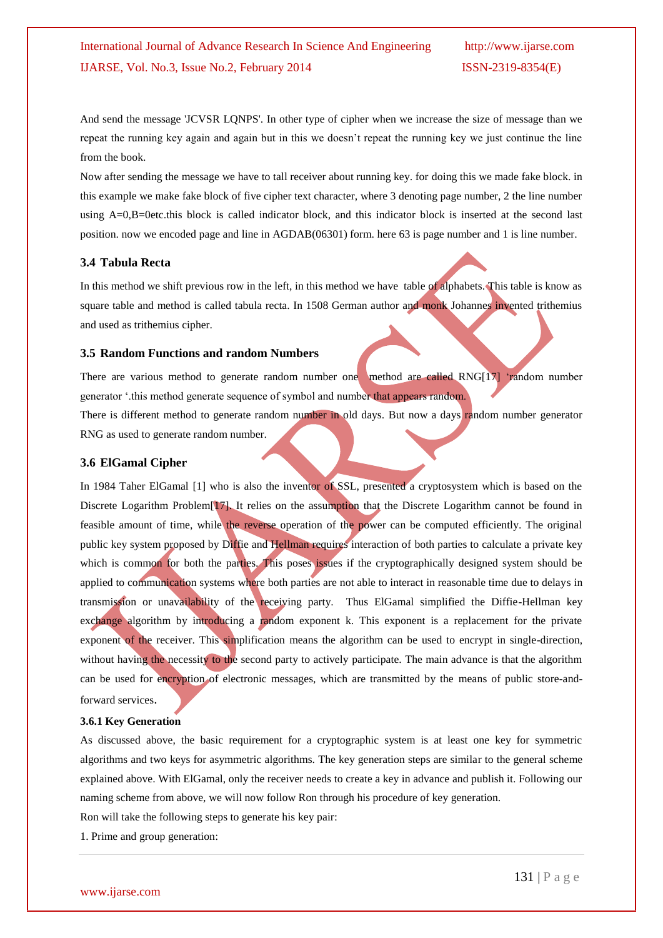And send the message 'JCVSR LQNPS'. In other type of cipher when we increase the size of message than we repeat the running key again and again but in this we doesn"t repeat the running key we just continue the line from the book.

Now after sending the message we have to tall receiver about running key. for doing this we made fake block. in this example we make fake block of five cipher text character, where 3 denoting page number, 2 the line number using A=0,B=0etc.this block is called indicator block, and this indicator block is inserted at the second last position. now we encoded page and line in AGDAB(06301) form. here 63 is page number and 1 is line number.

### **3.4 Tabula Recta**

In this method we shift previous row in the left, in this method we have table of alphabets. This table is know as square table and method is called tabula recta. In 1508 German author and monk Johannes invented trithemius and used as trithemius cipher.

### **3.5 Random Functions and random Numbers**

There are various method to generate random number one method are called RNG[17] "random number generator ".this method generate sequence of symbol and number that appears random.

There is different method to generate random number in old days. But now a days random number generator RNG as used to generate random number.

# **3.6 ElGamal Cipher**

In 1984 Taher ElGamal [1] who is also the inventor of SSL, presented a cryptosystem which is based on the Discrete Logarithm Problem<sup>[17]</sup>. It relies on the assumption that the Discrete Logarithm cannot be found in feasible amount of time, while the reverse operation of the power can be computed efficiently. The original public key system proposed by Diffie and Hellman requires interaction of both parties to calculate a private key which is common for both the parties. This poses issues if the cryptographically designed system should be applied to communication systems where both parties are not able to interact in reasonable time due to delays in transmission or unavailability of the receiving party. Thus ElGamal simplified the Diffie-Hellman key exchange algorithm by introducing a random exponent k. This exponent is a replacement for the private exponent of the receiver. This simplification means the algorithm can be used to encrypt in single-direction, without having the necessity to the second party to actively participate. The main advance is that the algorithm can be used for encryption of electronic messages, which are transmitted by the means of public store-andforward services.

### **3.6.1 Key Generation**

As discussed above, the basic requirement for a cryptographic system is at least one key for symmetric algorithms and two keys for asymmetric algorithms. The key generation steps are similar to the general scheme explained above. With ElGamal, only the receiver needs to create a key in advance and publish it. Following our naming scheme from above, we will now follow Ron through his procedure of key generation.

Ron will take the following steps to generate his key pair:

1. Prime and group generation: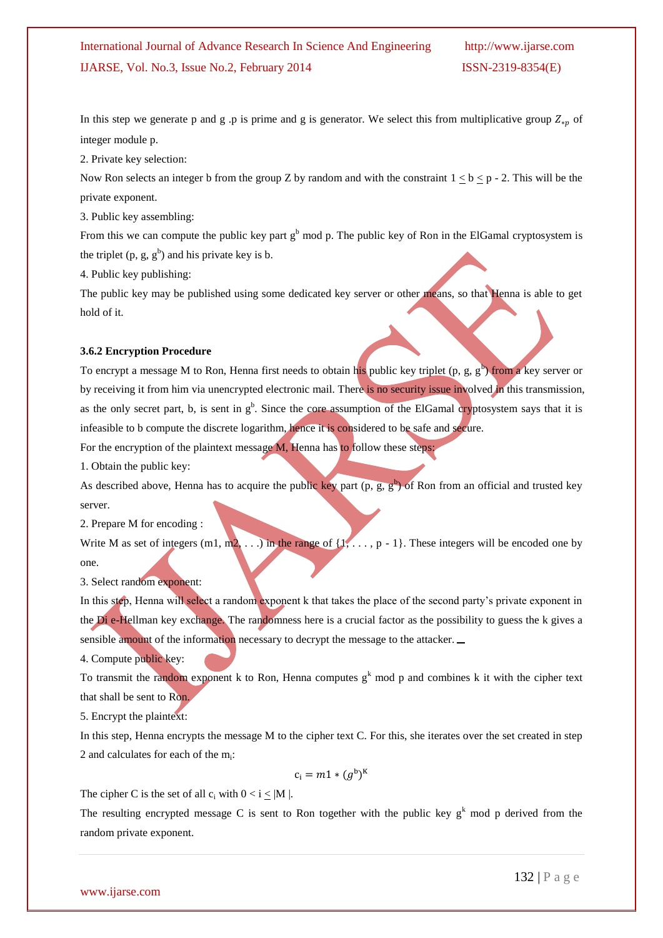In this step we generate p and g .p is prime and g is generator. We select this from multiplicative group  $Z_{\ast p}$  of integer module p.

2. Private key selection:

Now Ron selects an integer b from the group Z by random and with the constraint  $1 \leq b \leq p - 2$ . This will be the private exponent.

3. Public key assembling:

From this we can compute the public key part  $g<sup>b</sup>$  mod p. The public key of Ron in the ElGamal cryptosystem is the triplet  $(p, g, g^b)$  and his private key is b.

4. Public key publishing:

The public key may be published using some dedicated key server or other means, so that Henna is able to get hold of it.

#### **3.6.2 Encryption Procedure**

To encrypt a message M to Ron, Henna first needs to obtain his public key triplet (p, g, g<sup>b</sup>) from a key server or by receiving it from him via unencrypted electronic mail. There is no security issue involved in this transmission, as the only secret part, b, is sent in  $g<sup>b</sup>$ . Since the core assumption of the ElGamal cryptosystem says that it is infeasible to b compute the discrete logarithm, hence it is considered to be safe and secure.

For the encryption of the plaintext message **M**, Henna has to follow these steps:

1. Obtain the public key:

As described above, Henna has to acquire the public key part  $(p, g, g^b)$  of Ron from an official and trusted key server.

2. Prepare M for encoding :

Write M as set of integers  $(m1, m2, ...)$  in the range of  $\{1, ..., p - 1\}$ . These integers will be encoded one by one.

3. Select random exponent:

In this step, Henna will select a random exponent k that takes the place of the second party's private exponent in the Di e-Hellman key exchange. The randomness here is a crucial factor as the possibility to guess the k gives a sensible amount of the information necessary to decrypt the message to the attacker.

4. Compute public key:

To transmit the random exponent k to Ron, Henna computes  $g<sup>k</sup>$  mod p and combines k it with the cipher text that shall be sent to Ron.

5. Encrypt the plaintext:

In this step, Henna encrypts the message M to the cipher text C. For this, she iterates over the set created in step 2 and calculates for each of the m<sub>i</sub>:

$$
c_i = m1 * (g^b)^K
$$

The cipher C is the set of all  $c_i$  with  $0 < i < |M|$ .

The resulting encrypted message C is sent to Ron together with the public key  $g<sup>k</sup>$  mod p derived from the random private exponent.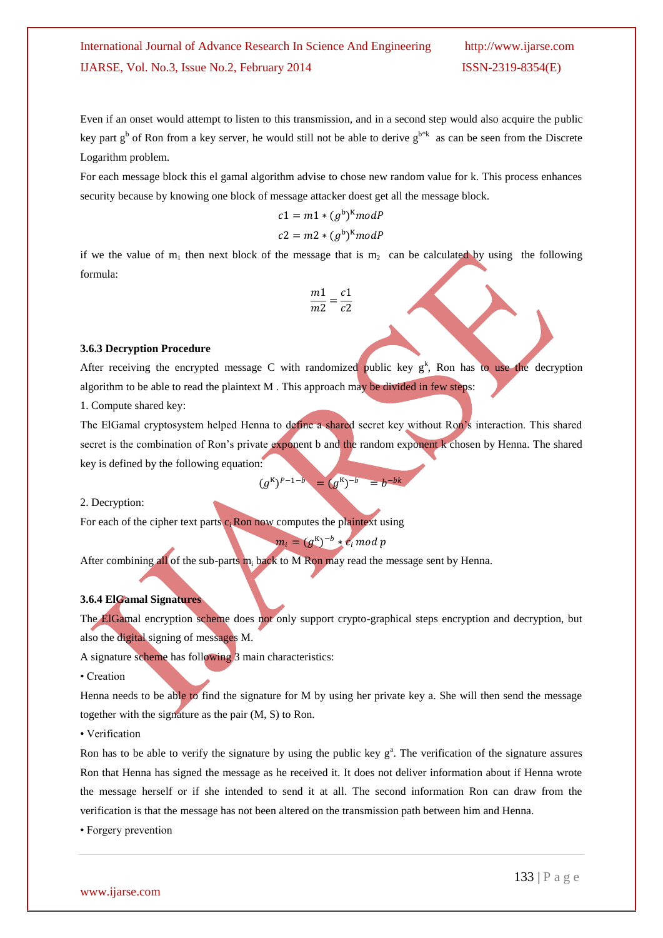Even if an onset would attempt to listen to this transmission, and in a second step would also acquire the public key part  $g^b$  of Ron from a key server, he would still not be able to derive  $g^{b^*k}$  as can be seen from the Discrete Logarithm problem.

For each message block this el gamal algorithm advise to chose new random value for k. This process enhances security because by knowing one block of message attacker doest get all the message block.

$$
c1 = m1 * (gb)K mod P
$$

$$
c2 = m2 * (gb)K mod P
$$

if we the value of  $m_1$  then next block of the message that is  $m_2$  can be calculated by using the following formula:

$$
\frac{m1}{m2} = \frac{c1}{c2}
$$

### **3.6.3 Decryption Procedure**

After receiving the encrypted message C with randomized public key  $g^k$ , Ron has to use the decryption algorithm to be able to read the plaintext M . This approach may be divided in few steps:

1. Compute shared key:

The ElGamal cryptosystem helped Henna to define a shared secret key without Ron's interaction. This shared secret is the combination of Ron's private exponent b and the random exponent k chosen by Henna. The shared key is defined by the following equation:

$$
(g^{K})^{P-1-b} = (g^{K})^{-b} = b^{-bk}
$$

2. Decryption:

For each of the cipher text parts  $c_i$  Ron now computes the plaintext using

 $m_i = (g^{K})^{-b} * c_i \mod p$ 

After combining all of the sub-parts  $m_i$  back to M Ron may read the message sent by Henna.

### **3.6.4 ElGamal Signatures**

The ElGamal encryption scheme does not only support crypto-graphical steps encryption and decryption, but also the digital signing of messages M.

A signature scheme has following 3 main characteristics:

• Creation

Henna needs to be able to find the signature for M by using her private key a. She will then send the message together with the signature as the pair (M, S) to Ron.

• Verification

Ron has to be able to verify the signature by using the public key  $g<sup>a</sup>$ . The verification of the signature assures Ron that Henna has signed the message as he received it. It does not deliver information about if Henna wrote the message herself or if she intended to send it at all. The second information Ron can draw from the verification is that the message has not been altered on the transmission path between him and Henna.

• Forgery prevention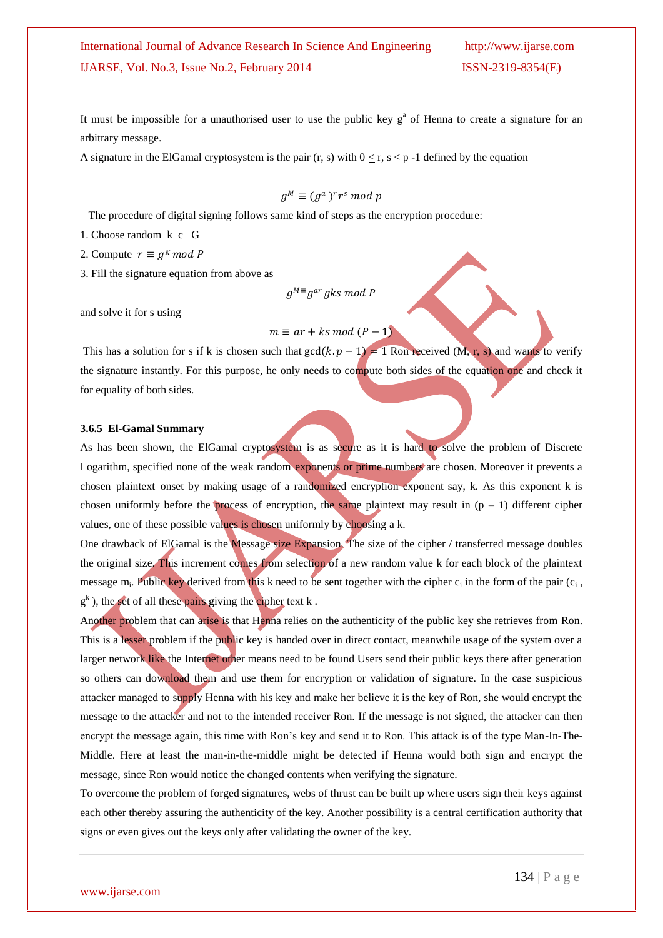It must be impossible for a unauthorised user to use the public key  $g<sup>a</sup>$  of Henna to create a signature for an arbitrary message.

A signature in the ElGamal cryptosystem is the pair (r, s) with  $0 \le r$ , s  $\lt p$  -1 defined by the equation

$$
g^M \equiv (g^a)^r r^s \bmod p
$$

The procedure of digital signing follows same kind of steps as the encryption procedure:

#### 1. Choose random  $k \in G$

2. Compute  $r \equiv g^k \mod P$ 

3. Fill the signature equation from above as

 $g^{M}$ ≡g<sup>ar</sup> gks mod P

and solve it for s using

# $m \equiv ar + ks \mod (P-1)$

This has a solution for s if k is chosen such that  $gcd(k, p - 1) = 1$  Ron received  $(M, r, s)$  and wants to verify the signature instantly. For this purpose, he only needs to compute both sides of the equation one and check it for equality of both sides.

#### **3.6.5 El-Gamal Summary**

As has been shown, the ElGamal cryptosystem is as secure as it is hard to solve the problem of Discrete Logarithm, specified none of the weak random exponents or prime numbers are chosen. Moreover it prevents a chosen plaintext onset by making usage of a randomized encryption exponent say, k. As this exponent k is chosen uniformly before the process of encryption, the same plaintext may result in  $(p - 1)$  different cipher values, one of these possible values is chosen uniformly by choosing a k.

One drawback of ElGamal is the Message size Expansion. The size of the cipher / transferred message doubles the original size. This increment comes from selection of a new random value k for each block of the plaintext message  $m_i$ . Public key derived from this k need to be sent together with the cipher  $c_i$  in the form of the pair  $(c_i, c_j)$  $g<sup>k</sup>$ ), the set of all these pairs giving the cipher text k.

Another problem that can arise is that Henna relies on the authenticity of the public key she retrieves from Ron. This is a lesser problem if the public key is handed over in direct contact, meanwhile usage of the system over a larger network like the Internet other means need to be found Users send their public keys there after generation so others can download them and use them for encryption or validation of signature. In the case suspicious attacker managed to supply Henna with his key and make her believe it is the key of Ron, she would encrypt the message to the attacker and not to the intended receiver Ron. If the message is not signed, the attacker can then encrypt the message again, this time with Ron's key and send it to Ron. This attack is of the type Man-In-The-Middle. Here at least the man-in-the-middle might be detected if Henna would both sign and encrypt the message, since Ron would notice the changed contents when verifying the signature.

To overcome the problem of forged signatures, webs of thrust can be built up where users sign their keys against each other thereby assuring the authenticity of the key. Another possibility is a central certification authority that signs or even gives out the keys only after validating the owner of the key.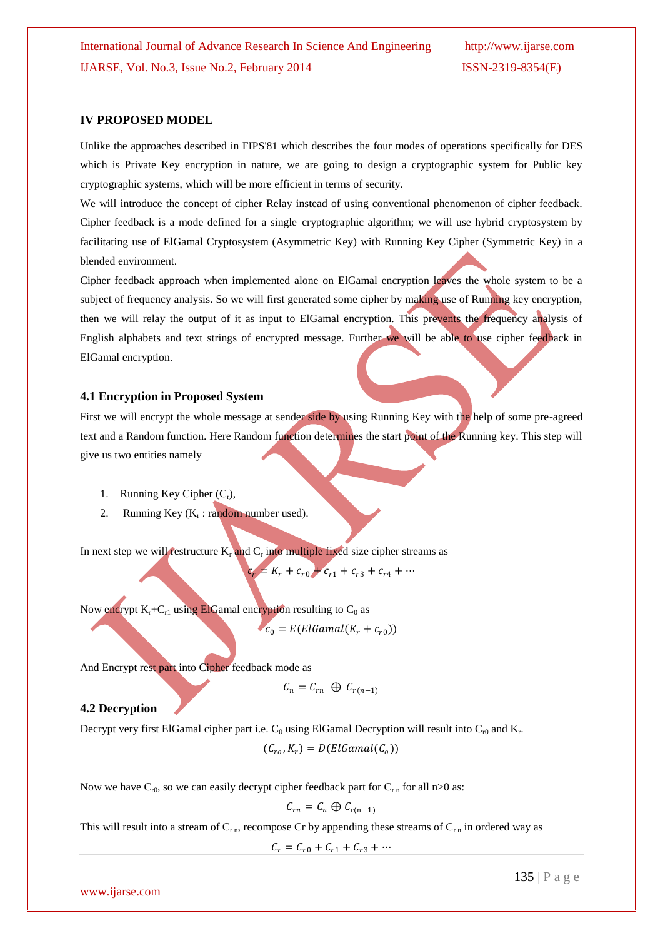### **IV PROPOSED MODEL**

Unlike the approaches described in FIPS'81 which describes the four modes of operations specifically for DES which is Private Key encryption in nature, we are going to design a cryptographic system for Public key cryptographic systems, which will be more efficient in terms of security.

We will introduce the concept of cipher Relay instead of using conventional phenomenon of cipher feedback. Cipher feedback is a mode defined for a single cryptographic algorithm; we will use hybrid cryptosystem by facilitating use of ElGamal Cryptosystem (Asymmetric Key) with Running Key Cipher (Symmetric Key) in a blended environment.

Cipher feedback approach when implemented alone on ElGamal encryption leaves the whole system to be a subject of frequency analysis. So we will first generated some cipher by making use of Running key encryption, then we will relay the output of it as input to ElGamal encryption. This prevents the frequency analysis of English alphabets and text strings of encrypted message. Further we will be able to use cipher feedback in ElGamal encryption.

### **4.1 Encryption in Proposed System**

First we will encrypt the whole message at sender side by using Running Key with the help of some pre-agreed text and a Random function. Here Random function determines the start point of the Running key. This step will give us two entities namely

- 1. Running Key Cipher  $(C_r)$ ,
- 2. Running Key (K<sub>r</sub>: random number used).

In next step we will restructure  $K_r$  and  $C_r$  into multiple fixed size cipher streams as

 $c_r = K_r + c_{r0} + c_{r1} + c_{r3} + c_{r4} + \cdots$ 

Now encrypt  $K_r+C_{r1}$  using ElGamal encryption resulting to  $C_0$  as

$$
c_0 = E(ElGamal(K_r + c_{r0}))
$$

And Encrypt rest part into Cipher feedback mode as

$$
C_n = C_{rn} \oplus C_{r(n-1)}
$$

# **4.2 Decryption**

Decrypt very first ElGamal cipher part i.e.  $C_0$  using ElGamal Decryption will result into  $C_{r0}$  and  $K_r$ .

 $(C_{ro}, K_r) = D(ElGamal(C_o))$ 

Now we have  $C_{r0}$ , so we can easily decrypt cipher feedback part for  $C_{r n}$  for all n>0 as:

$$
C_{rn} = C_n \oplus C_{r(n-1)}
$$

This will result into a stream of  $C_{r,n}$ , recompose Cr by appending these streams of  $C_{r,n}$  in ordered way as

 $C_r = C_{r0} + C_{r1} + C_{r3} + \cdots$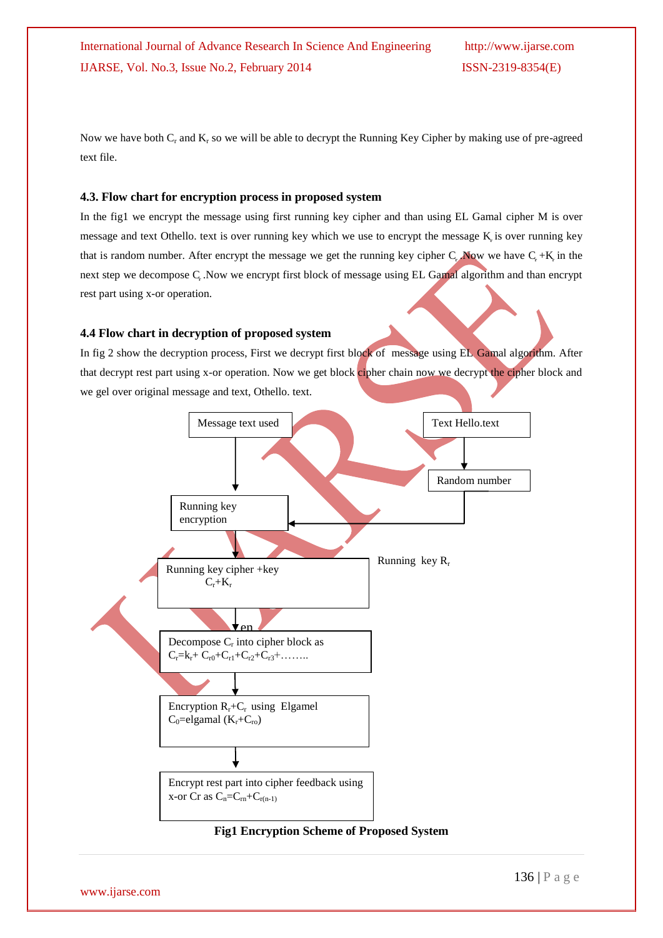Now we have both  $C_r$  and  $K_r$  so we will be able to decrypt the Running Key Cipher by making use of pre-agreed text file.

# **4.3. Flow chart for encryption process in proposed system**

In the fig1 we encrypt the message using first running key cipher and than using EL Gamal cipher M is over message and text Othello. text is over running key which we use to encrypt the message K is over running key that is random number. After encrypt the message we get the running key cipher C<sub>r</sub>. Now we have C<sub>r</sub> +K<sub>i</sub> in the next step we decompose C. Now we encrypt first block of message using EL Gamal algorithm and than encrypt rest part using x-or operation.

# **4.4 Flow chart in decryption of proposed system**

In fig 2 show the decryption process, First we decrypt first block of message using EL Gamal algorithm. After that decrypt rest part using x-or operation. Now we get block cipher chain now we decrypt the cipher block and we gel over original message and text, Othello. text.



**Fig1 Encryption Scheme of Proposed System**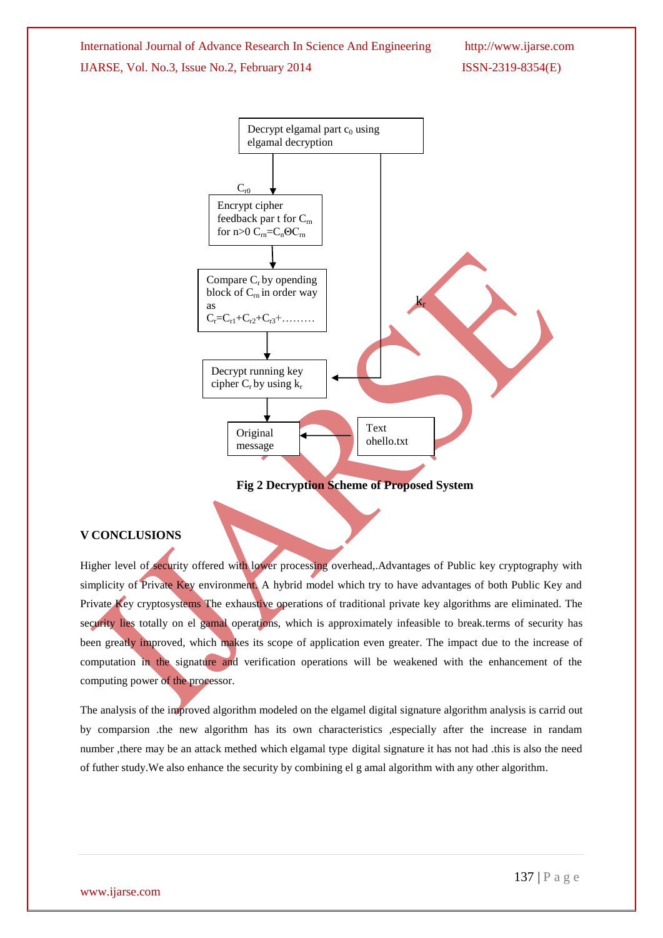



**Fig 2 Decryption Scheme of Proposed System**

# **V CONCLUSIONS**

Higher level of security offered with lower processing overhead,.Advantages of Public key cryptography with simplicity of Private Key environment. A hybrid model which try to have advantages of both Public Key and Private Key cryptosystems The exhaustive operations of traditional private key algorithms are eliminated. The security lies totally on el gamal operations, which is approximately infeasible to break.terms of security has been greatly improved, which makes its scope of application even greater. The impact due to the increase of computation in the signature and verification operations will be weakened with the enhancement of the computing power of the processor.

The analysis of the improved algorithm modeled on the elgamel digital signature algorithm analysis is carrid out by comparsion .the new algorithm has its own characteristics ,especially after the increase in randam number ,there may be an attack methed which elgamal type digital signature it has not had .this is also the need of futher study.We also enhance the security by combining el g amal algorithm with any other algorithm.